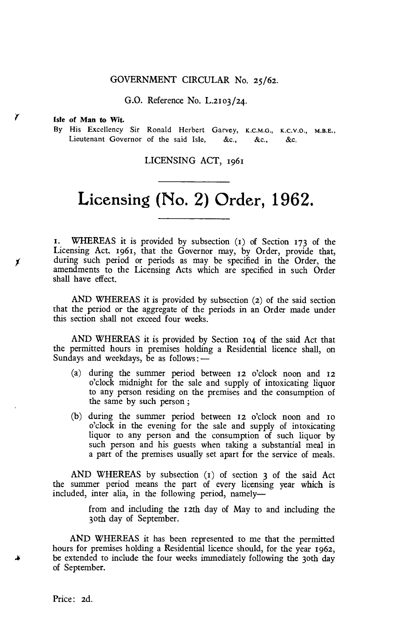# GOVERNMENT CIRCULAR No. 25/62.

G.O. Reference No. L.2103/24.

#### **Isle of Man to Wit.**

Y

Х

**By** His Excellency Sir Ronald Herbert Garvey, K.C.M.G., K.C.V.O., M.B.E., Lieutenant Governor of the said Isle, &c., &c., &c.

## LICENSING ACT, 1961

# **Licensing (No. 2) Order, 1962.**

t. WHEREAS it is provided by subsection (t) of Section 173 of the Licensing Act, 1961, that the Governor may, by Order, provide that, during such period or periods as may be specified in the Order, the amendments to the Licensing Acts which are specified in such Order shall have effect.

AND WHEREAS it is provided by subsection (2) of the said section that the period or the aggregate of the periods in an Order made under this section shall not exceed four weeks.

AND WHEREAS it is provided by Section 104 of the said Act that the permitted hours in premises holding a Residential licence shall, on Sundays and weekdays, be as follows :-

- (a) during the summer period between **12** o'clock noon and **12**  o'clock midnight for the sale and supply of intoxicating liquor to any person residing on the premises and the consumption of the same by such person ;
- (b) during the summer period between **12** o'clock noon and to o'clock in the evening for the sale and supply of intoxicating liquor to any person and the consumption of such liquor by such person and his guests when taking a substantial meal in a part of the premises usually set apart for the service of meals.

AND WHEREAS by subsection (t) of section 3 of the said Act the summer period means the part of every licensing year which is included, inter alia, in the following period, namely—

> from and including the 12th day of May to and including the 3oth day of September.

AND WHEREAS it has been represented to me that the permitted hours for premises holding a Residential licence should, for the year 1962, be extended to include the four weeks immediately following the 30th day of September.

Price: 2d.